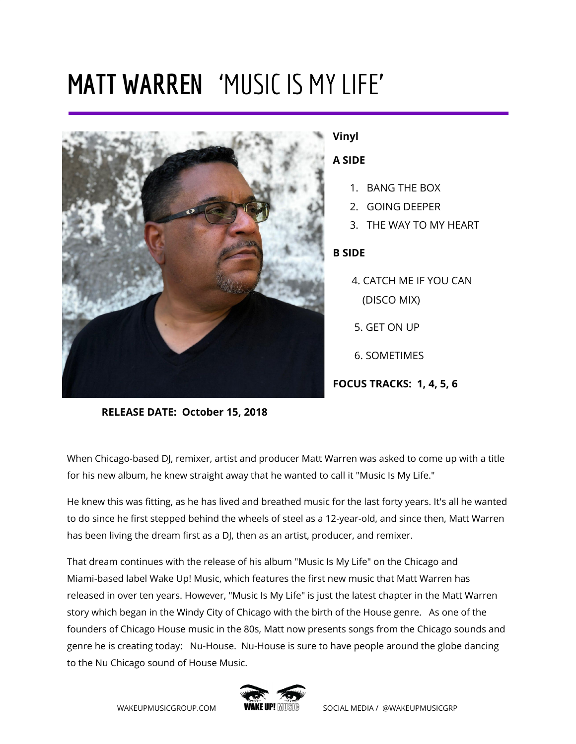# **MATT WARREN** 'MUSIC IS MY LIFE'



#### **Vinyl**

#### **A SIDE**

- 1. BANG THE BOX
- 2. GOING DEEPER
- 3. THE WAY TO MY HEART

### **B SIDE**

- 4. CATCH ME IF YOU CAN (DISCO MIX)
- 5. GET ON UP
- 6. SOMETIMES

**FOCUS TRACKS: 1, 4, 5, 6**

**RELEASE DATE: October 15, 2018**

When Chicago-based DJ, remixer, artist and producer Matt Warren was asked to come up with a title for his new album, he knew straight away that he wanted to call it "Music Is My Life."

He knew this was fitting, as he has lived and breathed music for the last forty years. It's all he wanted to do since he first stepped behind the wheels of steel as a 12-year-old, and since then, Matt Warren has been living the dream first as a DJ, then as an artist, producer, and remixer.

That dream continues with the release of his album "Music Is My Life" on the Chicago and Miami-based label Wake Up! Music, which features the first new music that Matt Warren has released in over ten years. However, "Music Is My Life" is just the latest chapter in the Matt Warren story which began in the Windy City of Chicago with the birth of the House genre. As one of the founders of Chicago House music in the 80s, Matt now presents songs from the Chicago sounds and genre he is creating today: Nu-House. Nu-House is sure to have people around the globe dancing to the Nu Chicago sound of House Music.